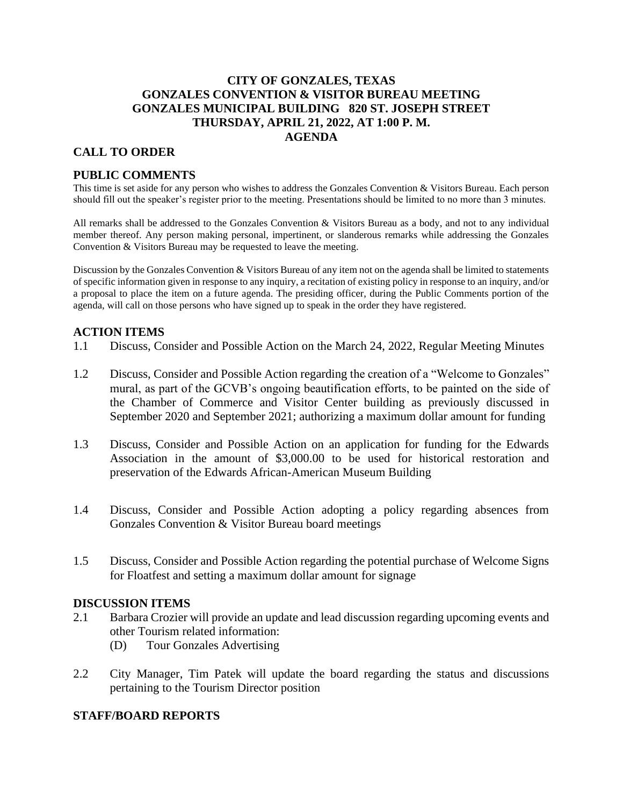# **CITY OF GONZALES, TEXAS GONZALES CONVENTION & VISITOR BUREAU MEETING GONZALES MUNICIPAL BUILDING 820 ST. JOSEPH STREET THURSDAY, APRIL 21, 2022, AT 1:00 P. M. AGENDA**

## **CALL TO ORDER**

## **PUBLIC COMMENTS**

This time is set aside for any person who wishes to address the Gonzales Convention & Visitors Bureau. Each person should fill out the speaker's register prior to the meeting. Presentations should be limited to no more than 3 minutes.

All remarks shall be addressed to the Gonzales Convention & Visitors Bureau as a body, and not to any individual member thereof. Any person making personal, impertinent, or slanderous remarks while addressing the Gonzales Convention & Visitors Bureau may be requested to leave the meeting.

Discussion by the Gonzales Convention & Visitors Bureau of any item not on the agenda shall be limited to statements of specific information given in response to any inquiry, a recitation of existing policy in response to an inquiry, and/or a proposal to place the item on a future agenda. The presiding officer, during the Public Comments portion of the agenda, will call on those persons who have signed up to speak in the order they have registered.

### **ACTION ITEMS**

- 1.1 Discuss, Consider and Possible Action on the March 24, 2022, Regular Meeting Minutes
- 1.2 Discuss, Consider and Possible Action regarding the creation of a "Welcome to Gonzales" mural, as part of the GCVB's ongoing beautification efforts, to be painted on the side of the Chamber of Commerce and Visitor Center building as previously discussed in September 2020 and September 2021; authorizing a maximum dollar amount for funding
- 1.3 Discuss, Consider and Possible Action on an application for funding for the Edwards Association in the amount of \$3,000.00 to be used for historical restoration and preservation of the Edwards African-American Museum Building
- 1.4 Discuss, Consider and Possible Action adopting a policy regarding absences from Gonzales Convention & Visitor Bureau board meetings
- 1.5 Discuss, Consider and Possible Action regarding the potential purchase of Welcome Signs for Floatfest and setting a maximum dollar amount for signage

#### **DISCUSSION ITEMS**

- 2.1 Barbara Crozier will provide an update and lead discussion regarding upcoming events and other Tourism related information:
	- (D) Tour Gonzales Advertising
- 2.2 City Manager, Tim Patek will update the board regarding the status and discussions pertaining to the Tourism Director position

### **STAFF/BOARD REPORTS**